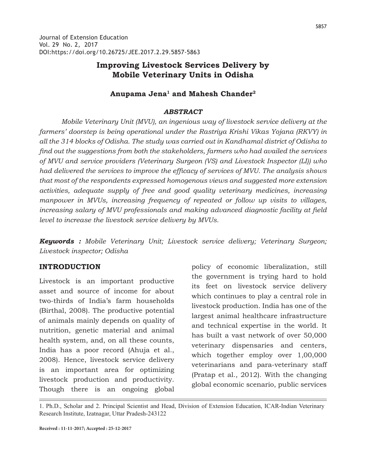# **Improving Livestock Services Delivery by Mobile Veterinary Units in Odisha**

## **Anupama Jena1 and Mahesh Chander2**

#### *ABSTRACT*

 *Mobile Veterinary Unit (MVU), an ingenious way of livestock service delivery at the farmers' doorstep is being operational under the Rastriya Krishi Vikas Yojana (RKVY) in all the 314 blocks of Odisha. The study was carried out in Kandhamal district of Odisha to find out the suggestions from both the stakeholders, farmers who had availed the services of MVU and service providers (Veterinary Surgeon (VS) and Livestock Inspector (LI)) who had delivered the services to improve the efficacy of services of MVU. The analysis shows that most of the respondents expressed homogenous views and suggested more extension activities, adequate supply of free and good quality veterinary medicines, increasing manpower in MVUs, increasing frequency of repeated or follow up visits to villages, increasing salary of MVU professionals and making advanced diagnostic facility at field level to increase the livestock service delivery by MVUs.*

*Keywords : Mobile Veterinary Unit; Livestock service delivery; Veterinary Surgeon; Livestock inspector; Odisha*

### **INTRODUCTION**

Livestock is an important productive asset and source of income for about two-thirds of India's farm households (Birthal, 2008). The productive potential of animals mainly depends on quality of nutrition, genetic material and animal health system, and, on all these counts, India has a poor record (Ahuja et al., 2008). Hence, livestock service delivery is an important area for optimizing livestock production and productivity. Though there is an ongoing global

policy of economic liberalization, still the government is trying hard to hold its feet on livestock service delivery which continues to play a central role in livestock production. India has one of the largest animal healthcare infrastructure and technical expertise in the world. It has built a vast network of over 50,000 veterinary dispensaries and centers, which together employ over 1,00,000 veterinarians and para-veterinary staff (Pratap et al., 2012). With the changing global economic scenario, public services

1. Ph.D., Scholar and 2. Principal Scientist and Head, Division of Extension Education, ICAR-Indian Veterinary Research Institute, Izatnagar, Uttar Pradesh-243122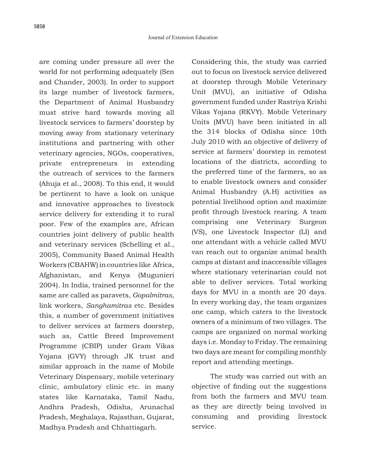are coming under pressure all over the world for not performing adequately (Sen and Chander, 2003). In order to support its large number of livestock farmers, the Department of Animal Husbandry must strive hard towards moving all livestock services to farmers' doorstep by moving away from stationary veterinary institutions and partnering with other veterinary agencies, NGOs, cooperatives, private entrepreneurs in extending the outreach of services to the farmers (Ahuja et al., 2008). To this end, it would be pertinent to have a look on unique and innovative approaches to livestock service delivery for extending it to rural poor. Few of the examples are, African countries joint delivery of public health and veterinary services (Schelling et al., 2005), Community Based Animal Health Workers (CBAHW) in countries like Africa, Afghanistan, and Kenya (Mugunieri 2004). In India, trained personnel for the same are called as paravets, *Gopalmitras*, link workers, *Sanghamitras* etc. Besides this, a number of government initiatives to deliver services at farmers doorstep, such as, Cattle Breed Improvement Programme (CBIP) under Gram Vikas Yojana (GVY) through JK trust and similar approach in the name of Mobile Veterinary Dispensary, mobile veterinary clinic, ambulatory clinic etc. in many states like Karnataka, Tamil Nadu, Andhra Pradesh, Odisha, Arunachal Pradesh, Meghalaya, Rajasthan, Gujarat, Madhya Pradesh and Chhattisgarh.

Considering this, the study was carried out to focus on livestock service delivered at doorstep through Mobile Veterinary Unit (MVU), an initiative of Odisha government funded under Rastriya Krishi Vikas Yojana (RKVY). Mobile Veterinary Units (MVU) have been initiated in all the 314 blocks of Odisha since 10th July 2010 with an objective of delivery of service at farmers' doorstep in remotest locations of the districts, according to the preferred time of the farmers, so as to enable livestock owners and consider Animal Husbandry (A.H) activities as potential livelihood option and maximize profit through livestock rearing. A team comprising one Veterinary Surgeon (VS), one Livestock Inspector (LI) and one attendant with a vehicle called MVU van reach out to organize animal health camps at distant and inaccessible villages where stationary veterinarian could not able to deliver services. Total working days for MVU in a month are 20 days. In every working day, the team organizes one camp, which caters to the livestock owners of a minimum of two villages. The camps are organized on normal working days i.e. Monday to Friday. The remaining two days are meant for compiling monthly report and attending meetings.

 The study was carried out with an objective of finding out the suggestions from both the farmers and MVU team as they are directly being involved in consuming and providing livestock service.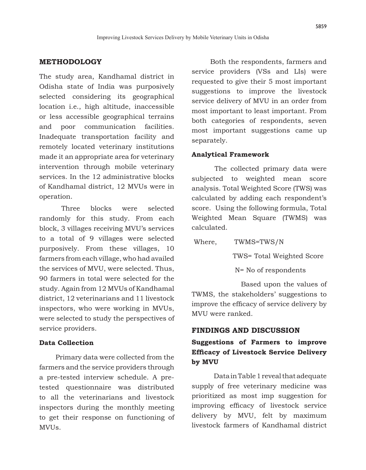# **METHODOLOGY**

The study area, Kandhamal district in Odisha state of India was purposively selected considering its geographical location i.e., high altitude, inaccessible or less accessible geographical terrains and poor communication facilities. Inadequate transportation facility and remotely located veterinary institutions made it an appropriate area for veterinary intervention through mobile veterinary services. In the 12 administrative blocks of Kandhamal district, 12 MVUs were in operation.

Three blocks were selected randomly for this study. From each block, 3 villages receiving MVU's services to a total of 9 villages were selected purposively. From these villages, 10 farmers from each village, who had availed the services of MVU, were selected. Thus, 90 farmers in total were selected for the study. Again from 12 MVUs of Kandhamal district, 12 veterinarians and 11 livestock inspectors, who were working in MVUs, were selected to study the perspectives of service providers.

### **Data Collection**

 Primary data were collected from the farmers and the service providers through a pre-tested interview schedule. A pretested questionnaire was distributed to all the veterinarians and livestock inspectors during the monthly meeting to get their response on functioning of MVUs.

 Both the respondents, farmers and service providers (VSs and LIs) were requested to give their 5 most important suggestions to improve the livestock service delivery of MVU in an order from most important to least important. From both categories of respondents, seven most important suggestions came up separately.

### **Analytical Framework**

 The collected primary data were subjected to weighted mean score analysis. Total Weighted Score (TWS) was calculated by adding each respondent's score. Using the following formula, Total Weighted Mean Square (TWMS) was calculated.

 Where, TWMS=TWS/N TWS= Total Weighted Score N= No of respondents

 Based upon the values of TWMS, the stakeholders' suggestions to improve the efficacy of service delivery by MVU were ranked.

## **FINDINGS AND DISCUSSION**

# **Suggestions of Farmers to improve Efficacy of Livestock Service Delivery by MVU**

Data in Table 1 reveal that adequate supply of free veterinary medicine was prioritized as most imp suggestion for improving efficacy of livestock service delivery by MVU, felt by maximum livestock farmers of Kandhamal district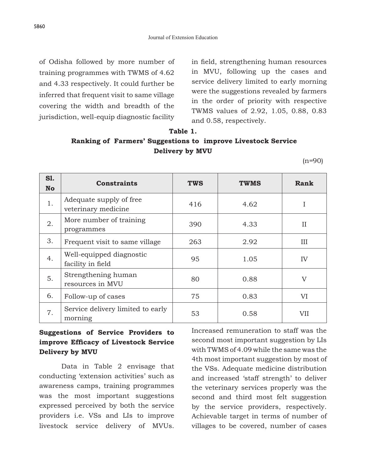of Odisha followed by more number of training programmes with TWMS of 4.62 and 4.33 respectively. It could further be inferred that frequent visit to same village covering the width and breadth of the jurisdiction, well-equip diagnostic facility in field, strengthening human resources in MVU, following up the cases and service delivery limited to early morning were the suggestions revealed by farmers in the order of priority with respective TWMS values of 2.92, 1.05, 0.88, 0.83 and 0.58, respectively.

### **Table 1.**

# **Ranking of Farmers' Suggestions to improve Livestock Service Delivery by MVU**

 $(n=90)$ 

| <b>S1.</b><br><b>No</b> | <b>Constraints</b>                             | <b>TWS</b> | <b>TWMS</b> | Rank           |
|-------------------------|------------------------------------------------|------------|-------------|----------------|
| 1.                      | Adequate supply of free<br>veterinary medicine | 416        | 4.62        | I              |
| 2.                      | More number of training<br>programmes          | 390        | 4.33        | $\mathbf{H}$   |
| 3.                      | Frequent visit to same village                 | 263        | 2.92        | Ш              |
| 4.                      | Well-equipped diagnostic<br>facility in field  | 95         | 1.05        | IV             |
| 5.                      | Strengthening human<br>resources in MVU        | 80         | 0.88        | $\overline{V}$ |
| 6.                      | Follow-up of cases                             | 75         | 0.83        | VI             |
| 7.                      | Service delivery limited to early<br>morning   | 53         | 0.58        | VII            |

# **Suggestions of Service Providers to improve Efficacy of Livestock Service Delivery by MVU**

Data in Table 2 envisage that conducting 'extension activities' such as awareness camps, training programmes was the most important suggestions expressed perceived by both the service providers i.e. VSs and LIs to improve livestock service delivery of MVUs. Increased remuneration to staff was the second most important suggestion by LIs with TWMS of 4.09 while the same was the 4th most important suggestion by most of the VSs. Adequate medicine distribution and increased 'staff strength' to deliver the veterinary services properly was the second and third most felt suggestion by the service providers, respectively. Achievable target in terms of number of villages to be covered, number of cases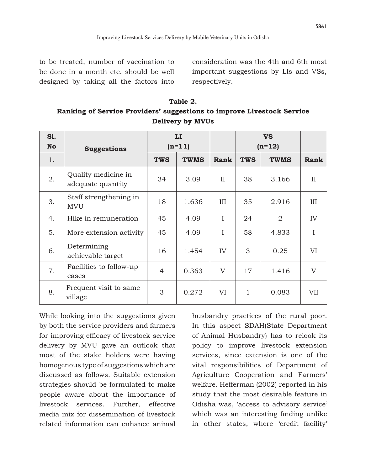consideration was the 4th and 6th most important suggestions by LIs and VSs, respectively.

| Table 2.                                                               |  |  |  |  |  |  |
|------------------------------------------------------------------------|--|--|--|--|--|--|
| Ranking of Service Providers' suggestions to improve Livestock Service |  |  |  |  |  |  |
| <b>Delivery by MVUs</b>                                                |  |  |  |  |  |  |

| <b>S1.</b><br><b>No</b> | <b>Suggestions</b>                       | $\mathbf{L}\mathbf{I}$<br>$(n=11)$ |             |              | <b>VS</b><br>$(n=12)$ |                |              |
|-------------------------|------------------------------------------|------------------------------------|-------------|--------------|-----------------------|----------------|--------------|
| 1.                      |                                          | <b>TWS</b>                         | <b>TWMS</b> | Rank         | <b>TWS</b>            | <b>TWMS</b>    | Rank         |
| 2.                      | Quality medicine in<br>adequate quantity | 34                                 | 3.09        | $\mathbf{H}$ | 38                    | 3.166          | $\mathbf{H}$ |
| 3.                      | Staff strengthening in<br><b>MVU</b>     | 18                                 | 1.636       | Ш            | 35                    | 2.916          | Ш            |
| 4.                      | Hike in remuneration                     | 45                                 | 4.09        | I            | 24                    | $\overline{2}$ | IV           |
| 5.                      | More extension activity                  | 45                                 | 4.09        | I            | 58                    | 4.833          | I            |
| 6.                      | Determining<br>achievable target         | 16                                 | 1.454       | IV           | 3                     | 0.25           | VI           |
| 7.                      | Facilities to follow-up<br>cases         | 4                                  | 0.363       | V            | 17                    | 1.416          | V            |
| 8.                      | Frequent visit to same<br>village        | 3                                  | 0.272       | VI           | 1                     | 0.083          | VII          |

While looking into the suggestions given by both the service providers and farmers for improving efficacy of livestock service delivery by MVU gave an outlook that most of the stake holders were having homogenous type of suggestions which are discussed as follows. Suitable extension strategies should be formulated to make people aware about the importance of livestock services. Further, effective media mix for dissemination of livestock related information can enhance animal

husbandry practices of the rural poor. In this aspect SDAH(State Department of Animal Husbandry) has to relook its policy to improve livestock extension services, since extension is one of the vital responsibilities of Department of Agriculture Cooperation and Farmers' welfare. Hefferman (2002) reported in his study that the most desirable feature in Odisha was, 'access to advisory service' which was an interesting finding unlike in other states, where 'credit facility'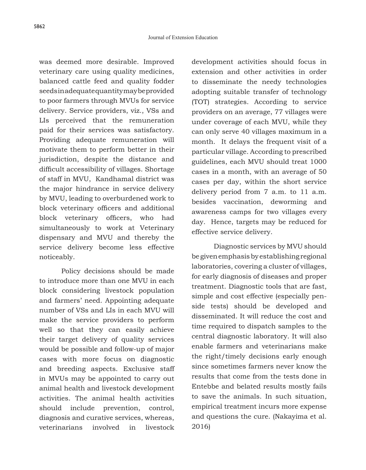was deemed more desirable. Improved veterinary care using quality medicines, balanced cattle feed and quality fodder seeds in adequate quantity may be provided to poor farmers through MVUs for service delivery. Service providers, viz., VSs and LIs perceived that the remuneration paid for their services was satisfactory. Providing adequate remuneration will motivate them to perform better in their jurisdiction, despite the distance and difficult accessibility of villages. Shortage of staff in MVU, Kandhamal district was the major hindrance in service delivery by MVU, leading to overburdened work to block veterinary officers and additional block veterinary officers, who had simultaneously to work at Veterinary dispensary and MVU and thereby the service delivery become less effective noticeably.

Policy decisions should be made to introduce more than one MVU in each block considering livestock population and farmers' need. Appointing adequate number of VSs and LIs in each MVU will make the service providers to perform well so that they can easily achieve their target delivery of quality services would be possible and follow-up of major cases with more focus on diagnostic and breeding aspects. Exclusive staff in MVUs may be appointed to carry out animal health and livestock development activities. The animal health activities should include prevention, control, diagnosis and curative services, whereas, veterinarians involved in livestock development activities should focus in extension and other activities in order to disseminate the needy technologies adopting suitable transfer of technology (TOT) strategies. According to service providers on an average, 77 villages were under coverage of each MVU, while they can only serve 40 villages maximum in a month. It delays the frequent visit of a particular village. According to prescribed guidelines, each MVU should treat 1000 cases in a month, with an average of 50 cases per day, within the short service delivery period from 7 a.m. to 11 a.m. besides vaccination, deworming and awareness camps for two villages every day. Hence, targets may be reduced for effective service delivery.

Diagnostic services by MVU should be given emphasis by establishing regional laboratories, covering a cluster of villages, for early diagnosis of diseases and proper treatment. Diagnostic tools that are fast, simple and cost effective (especially penside tests) should be developed and disseminated. It will reduce the cost and time required to dispatch samples to the central diagnostic laboratory. It will also enable farmers and veterinarians make the right/timely decisions early enough since sometimes farmers never know the results that come from the tests done in Entebbe and belated results mostly fails to save the animals. In such situation, empirical treatment incurs more expense and questions the cure. (Nakayima et al. 2016)